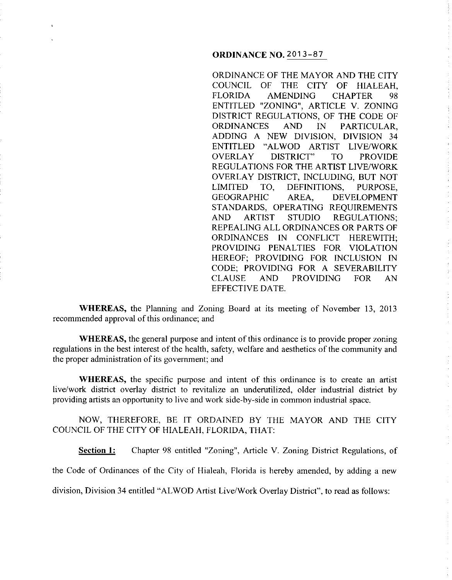# **ORDINANCE NO.** 2013-87

ORDINANCE OF THE MAYOR AND THE CITY COUNCIL OF THE CITY OF HIALEAH, FLORIDA AMENDING CHAPTER 98 ENTITLED "ZONING", ARTICLE V. ZONING DISTRICT REGULATIONS, OF THE CODE OF ORDINANCES AND IN PARTICULAR, ADDING A NEW DIVISION, DIVISION 34 ENTITLED "ALWOD ARTIST LIVE/WORK OVERLAY DISTRICT" TO PROVIDE REGULATIONS FOR THE ARTIST LIVE/WORK OVERLAY DISTRICT, INCLUDING, BUT NOT LIMITED TO, DEFINITIONS, PURPOSE, GEOGRAPHIC AREA, DEVELOPMENT STANDARDS, OPERATING REQUIREMENTS AND ARTIST STUDIO REGULATIONS; REPEALING ALL ORDINANCES OR PARTS OF ORDINANCES IN CONFLICT HEREWITH; PROVIDING PENALTIES FOR VIOLATION HEREOF; PROVIDING FOR INCLUSION IN CODE; PROVIDING FOR A SEVERABILITY CLAUSE AND PROVIDING FOR AN EFFECTIVE DATE.

**WHEREAS,** the Planning and Zoning Board at its meeting of November 13, 2013 recommended approval of this ordinance; and

**WHEREAS,** the general purpose and intent of this ordinance is to provide proper zoning regulations in the best interest of the health, safety, welfare and aesthetics of the community and the proper administration of its government; and

**WHEREAS,** the specific purpose and intent of this ordinance is to create an artist live/work district overlay district to revitalize an underutilized, older industrial district by providing artists an opportunity to live and work side-by-side in common industrial space.

NOW, THEREFORE, BE IT ORDAINED BY THE MAYOR AND THE CITY COUNCIL OF THE CITY OF HIALEAH, FLORIDA, THAT:

**Section 1:** Chapter 98 entitled "Zoning", Article V. Zoning District Regulations, of

the Code of Ordinances of the City of Hialeah, Florida is hereby amended, by adding a new

division, Division 34 entitled "ALWOD Artist Live/Work Overlay District", to read as follows: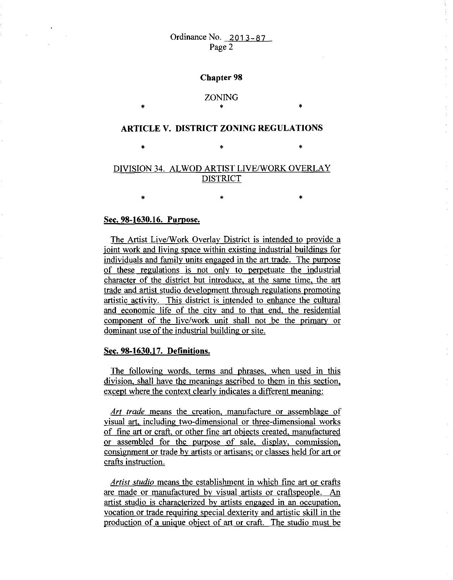Ordinance No. 2013-87 Page 2

#### **Chapter 98**

# ZONING • \*

## **ARTICLE V. DISTRICT ZONING REGULATIONS**

 $\begin{matrix} * & * \end{matrix}$ 

# DIVISION 34. ALWOD ARTIST LIVE/WORK OVERLAY DISTRICT

 $\begin{matrix} * & * \end{matrix}$ 

## **Sec. 98-1630.16. Purpose.**

\*

The Artist Live/Work Overlay District is intended to provide a joint work and living space within existing industrial buildings for individuals and family units engaged in the art trade. The purpose of these regulations is not only to pemetuate the industrial character of the district but introduce. at the same time, the art trade and artist studio development through regulations promoting artistic activitv. This district is intended to enhance the cultural and economic life of the city and to that end, the residential component of the live/work unit shall not be the primarv or dominant use of the industrial building or site.

### **Sec. 98-1630.17. Definitions.**

The following words, terms and phrases. when used in this division, shall have the meanings ascribed to them in this section, except where the context clearly indicates a different meaning:

*Art trade* means the creation, manufacture or assemblage of visual art. including two-dimensional or three-dimensional works of fine art or craft. or other fine art objects created, manufactured or assembled for the purpose of sale, display, commission, consignment or trade by artists or artisans; or classes held for art or crafts instruction.

*Artist studio* means the establishment in which fine art or crafts are made or manufactured by visual artists or craftspeople. An artist studio is characterized by artists engaged in an occupation, vocation or trade requiring special dexterity and artistic skill in the production of a unique object of art or craft. The studio must be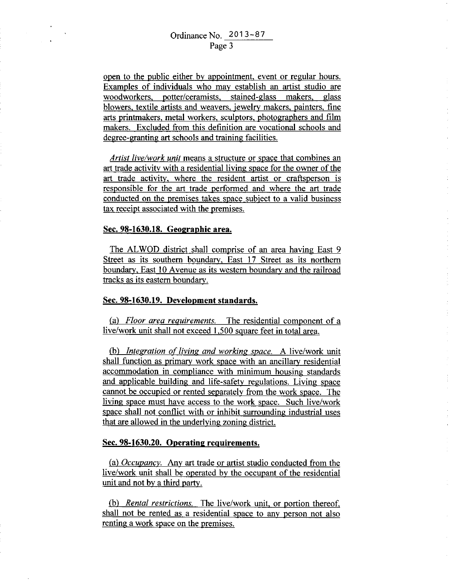open to the public either by appointment, event or regular hours. Examples of individuals who may establish an artist studio are woodworkers, potter/ceramists, stained-glass makers, glass blowers, textile artists and weavers, jewelry makers, painters, fine arts printmakers, metal workers, sculptors, photographers and film makers. Excluded from this definition are vocational schools and degree-granting art schools and training facilities.

*Artist live/work unit* means a structure or space that combines an art trade activity with a residential living space for the owner of the art trade activity, where the resident artist or craftsperson is responsible for the art trade performed and where the art trade conducted on the premises takes space subject to a valid business tax receipt associated with the premises.

### **Sec. 98-1630.18. Geographic area.**

The ALWOD district shall comprise of an area having East 9 Street as its southern boundary, East 17 Street as its northern boundary, East 10 Avenue as its western boundary and the railroad tracks as its eastern boundary.

#### **Sec. 98-1630.19. Development standards.**

(a) *Floor area requirements.* The residential component of a live/work unit shall not exceed 1.500 square feet **in** total area.

(b) *Integration of living and working space*. A live/work unit shall function as primary work space with an ancillary residential accommodation in compliance with minimum housing standards and applicable building and life-safety regulations. Living space cannot be occupied or rented separately from the work space. The living space must have access to the work space. Such live/work space shall not conflict with or inhibit surrounding industrial uses that are allowed in the underlying zoning district.

#### **Sec. 98-1630.20. Operating requirements.**

(a) *Occupancv.* Any art trade or artist studio conducted from the live/work unit shall be operated by the occupant of the residential unit and not by a third party.

(b) *Rental restrictions.* The live/work unit, or portion thereof, shall not be rented as a residential space to any person not also renting a work space on the premises.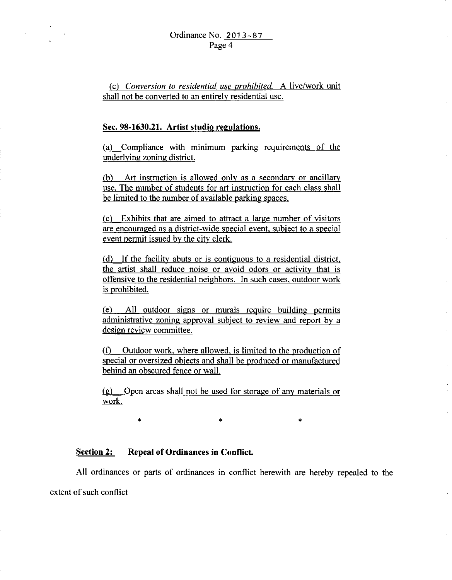(c) *Conversion to residential use prohibited.* A live/work unit shall not be converted to an entirely residential use.

## **Sec. 98-1630.21. Artist studio regulations.**

(a) Compliance with minimum parking requirements of the underlying zoning district.

(b) Art instruction is allowed only as a secondary or ancillary use. The number of students for art instruction for each class shall be limited to the number of available parking spaces.

(c) Exhibits that are aimed to attract a large number of visitors are encouraged as a district -wide special event. subject to a special event permit issued by the city clerk.

(d) If the facility abuts or is contiguous to a residential district, the artist shall reduce noise or avoid odors or activity that is offensive to the residential neighbors. In such cases, outdoor work is prohibited.

(e) All outdoor signs or murals reguire building permits administrative zoning approval subject to review and report by a design review committee.

(f) Outdoor work, where allowed, is limited to the production of special or oversized objects and shall be produced or manufactured behind an obscured fence or wall.

(g) Open areas shall not be used for storage of any materials or work.

 $\ast$   $\ast$   $\ast$ 

# **Section 2: Repeal of Ordinances in Conflict.**

All ordinances or parts of ordinances in conflict herewith are hereby repealed to the extent of such conflict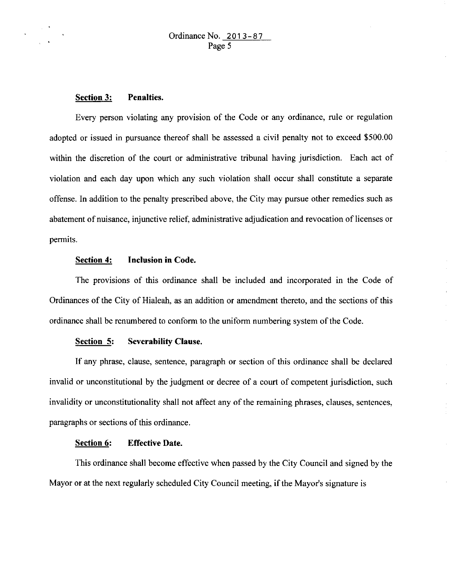## **Section 3: Penalties.**

Every person violating any provision of the Code or any ordinance, rule or regulation adopted or issued in pursuance thereof shall be assessed a civil penalty not to exceed \$500.00 within the discretion of the court or administrative tribunal having jurisdiction. Each act of violation and each day upon which any such violation shall occur shall constitute a separate offense. In addition to the penalty prescribed above, the City may pursue other remedies such as abatement of nuisance, injunctive relief, administrative adjudication and revocation of licenses or permits.

### **Section 4: Inclusion in Code.**

The provisions of this ordinance shall be included and incorporated in the Code of Ordinances of the City of Hialeah, as an addition or amendment thereto, and the sections of this ordinance shall be renumbered to conform to the uniform numbering system of the Code.

#### **Section 5: Severability Clause.**

If any phrase, clause, sentence, paragraph or section of this ordinance shall be declared invalid or unconstitutional by the judgment or decree of a court of competent jurisdiction, such invalidity or unconstitutionality shall not affect any of the remaining phrases, clauses, sentences, paragraphs or sections of this ordinance.

### **Section 6: Effective Date.**

This ordinance shall become effective when passed by the City Council and signed by the Mayor or at the next regularly scheduled City Council meeting, if the Mayor's signature is